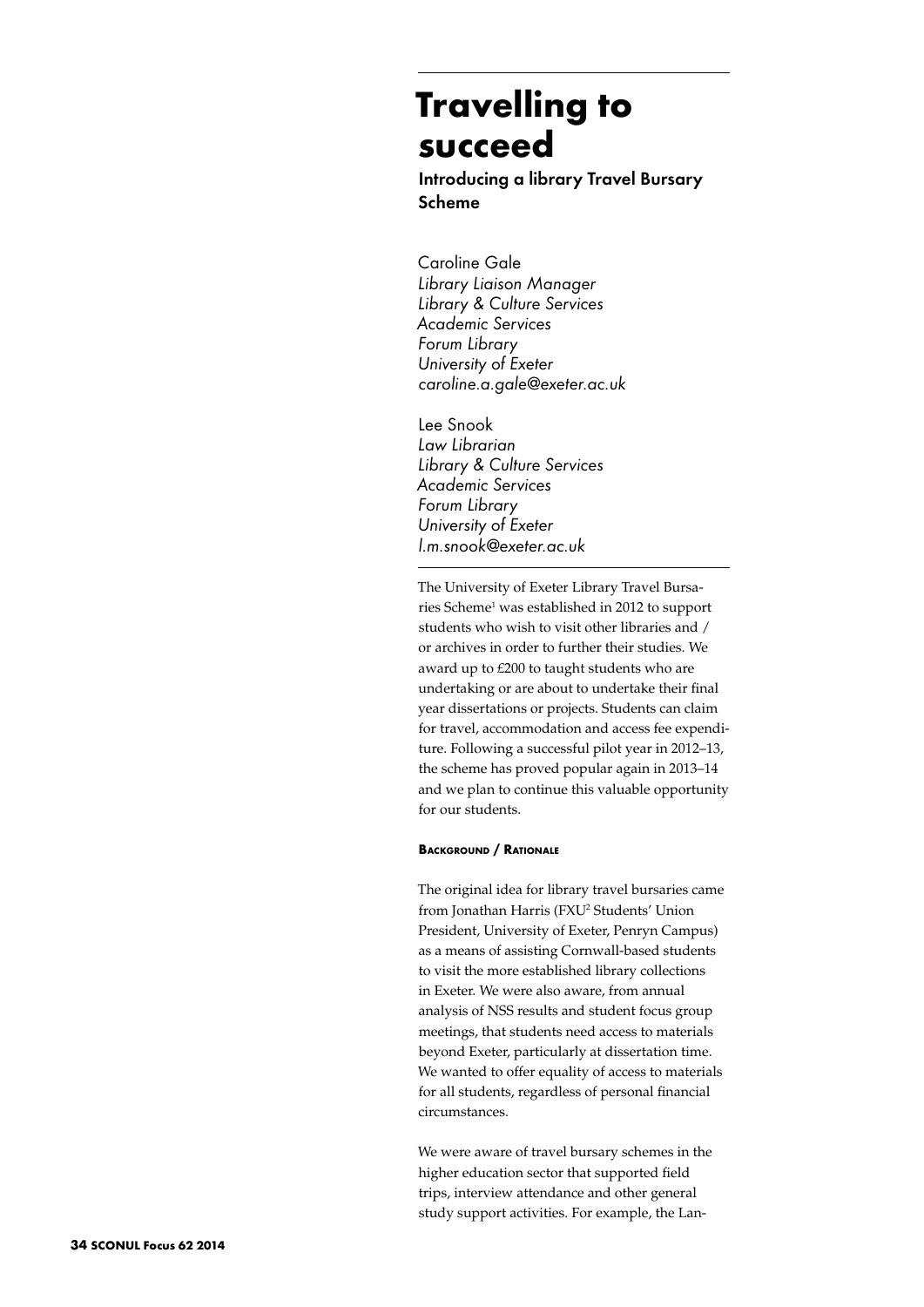# **Travelling to succeed**

Introducing a library Travel Bursary Scheme

Caroline Gale *Library Liaison Manager Library & Culture Services Academic Services Forum Library University of Exeter caroline.a.gale@exeter.ac.uk*

Lee Snook *Law Librarian Library & Culture Services Academic Services Forum Library University of Exeter l.m.snook@exeter.ac.uk*

The University of Exeter Library Travel Bursaries Scheme<sup>1</sup> was established in 2012 to support students who wish to visit other libraries and / or archives in order to further their studies. We award up to £200 to taught students who are undertaking or are about to undertake their final year dissertations or projects. Students can claim for travel, accommodation and access fee expenditure. Following a successful pilot year in 2012–13, the scheme has proved popular again in 2013–14 and we plan to continue this valuable opportunity for our students.

## **Background / Rationale**

The original idea for library travel bursaries came from Jonathan Harris (FXU<sup>2</sup> Students' Union President, University of Exeter, Penryn Campus) as a means of assisting Cornwall-based students to visit the more established library collections in Exeter. We were also aware, from annual analysis of NSS results and student focus group meetings, that students need access to materials beyond Exeter, particularly at dissertation time. We wanted to offer equality of access to materials for all students, regardless of personal financial circumstances.

We were aware of travel bursary schemes in the higher education sector that supported field trips, interview attendance and other general study support activities. For example, the Lan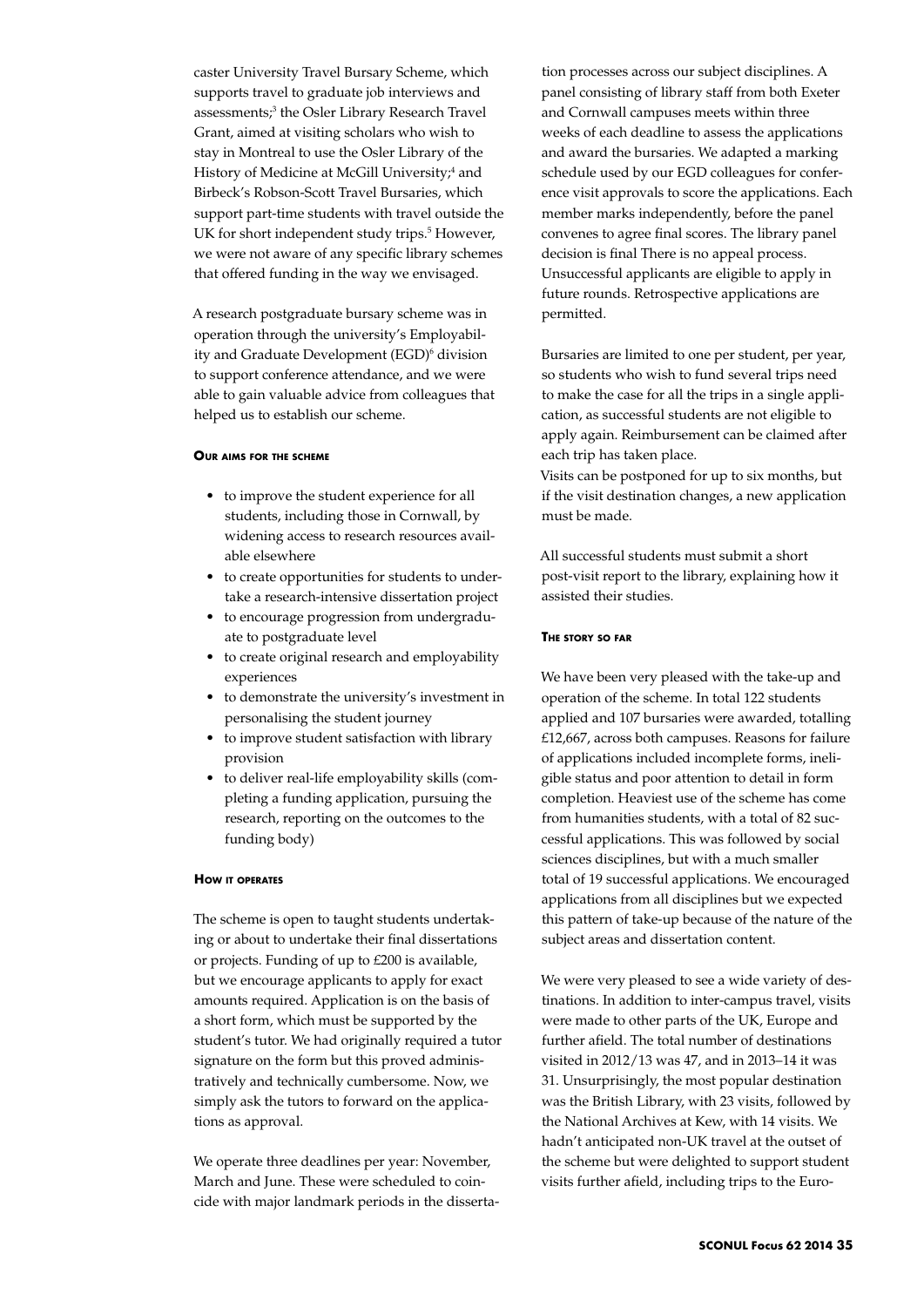caster University Travel Bursary Scheme, which supports travel to graduate job interviews and assessments;<sup>3</sup> the Osler Library Research Travel Grant, aimed at visiting scholars who wish to stay in Montreal to use the Osler Library of the History of Medicine at McGill University;<sup>4</sup> and Birbeck's Robson-Scott Travel Bursaries, which support part-time students with travel outside the UK for short independent study trips.<sup>5</sup> However, we were not aware of any specific library schemes that offered funding in the way we envisaged.

A research postgraduate bursary scheme was in operation through the university's Employability and Graduate Development (EGD)6 division to support conference attendance, and we were able to gain valuable advice from colleagues that helped us to establish our scheme.

#### **Our aims for the scheme**

- • to improve the student experience for all students, including those in Cornwall, by widening access to research resources available elsewhere
- to create opportunities for students to undertake a research-intensive dissertation project
- to encourage progression from undergraduate to postgraduate level
- to create original research and employability experiences
- • to demonstrate the university's investment in personalising the student journey
- • to improve student satisfaction with library provision
- • to deliver real-life employability skills (completing a funding application, pursuing the research, reporting on the outcomes to the funding body)

## **How it operates**

The scheme is open to taught students undertaking or about to undertake their final dissertations or projects. Funding of up to £200 is available, but we encourage applicants to apply for exact amounts required. Application is on the basis of a short form, which must be supported by the student's tutor. We had originally required a tutor signature on the form but this proved administratively and technically cumbersome. Now, we simply ask the tutors to forward on the applications as approval.

We operate three deadlines per year: November, March and June. These were scheduled to coincide with major landmark periods in the dissertation processes across our subject disciplines. A panel consisting of library staff from both Exeter and Cornwall campuses meets within three weeks of each deadline to assess the applications and award the bursaries. We adapted a marking schedule used by our EGD colleagues for conference visit approvals to score the applications. Each member marks independently, before the panel convenes to agree final scores. The library panel decision is final There is no appeal process. Unsuccessful applicants are eligible to apply in future rounds. Retrospective applications are permitted.

Bursaries are limited to one per student, per year, so students who wish to fund several trips need to make the case for all the trips in a single application, as successful students are not eligible to apply again. Reimbursement can be claimed after each trip has taken place.

Visits can be postponed for up to six months, but if the visit destination changes, a new application must be made.

All successful students must submit a short post-visit report to the library, explaining how it assisted their studies.

## **The story so far**

We have been very pleased with the take-up and operation of the scheme. In total 122 students applied and 107 bursaries were awarded, totalling £12,667, across both campuses. Reasons for failure of applications included incomplete forms, ineligible status and poor attention to detail in form completion. Heaviest use of the scheme has come from humanities students, with a total of 82 successful applications. This was followed by social sciences disciplines, but with a much smaller total of 19 successful applications. We encouraged applications from all disciplines but we expected this pattern of take-up because of the nature of the subject areas and dissertation content.

We were very pleased to see a wide variety of destinations. In addition to inter-campus travel, visits were made to other parts of the UK, Europe and further afield. The total number of destinations visited in 2012/13 was 47, and in 2013–14 it was 31. Unsurprisingly, the most popular destination was the British Library, with 23 visits, followed by the National Archives at Kew, with 14 visits. We hadn't anticipated non-UK travel at the outset of the scheme but were delighted to support student visits further afield, including trips to the Euro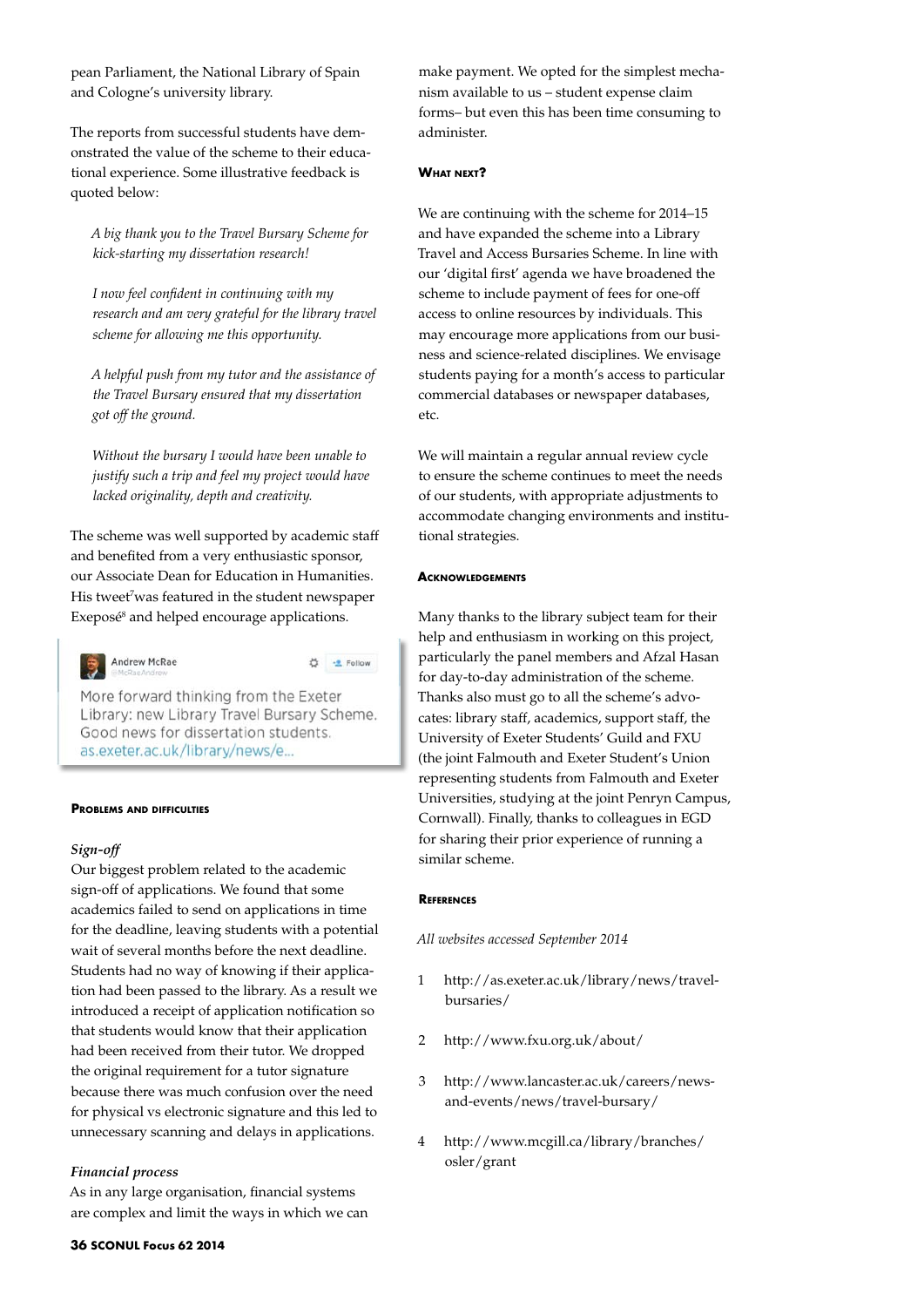pean Parliament, the National Library of Spain and Cologne's university library.

The reports from successful students have demonstrated the value of the scheme to their educational experience. Some illustrative feedback is quoted below:

*A big thank you to the Travel Bursary Scheme for kick-starting my dissertation research!*

*I now feel confident in continuing with my research and am very grateful for the library travel scheme for allowing me this opportunity.*

*A helpful push from my tutor and the assistance of the Travel Bursary ensured that my dissertation got off the ground.*

*Without the bursary I would have been unable to justify such a trip and feel my project would have lacked originality, depth and creativity.* 

The scheme was well supported by academic staff and benefited from a very enthusiastic sponsor, our Associate Dean for Education in Humanities. His tweet<sup>7</sup>was featured in the student newspaper Exeposé<sup>8</sup> and helped encourage applications.



☆ <u>-e</u> Follow

More forward thinking from the Exeter Library: new Library Travel Bursary Scheme. Good news for dissertation students. as.exeter.ac.uk/library/news/e...

#### **Problems and difficulties**

## *Sign-off*

Our biggest problem related to the academic sign-off of applications. We found that some academics failed to send on applications in time for the deadline, leaving students with a potential wait of several months before the next deadline. Students had no way of knowing if their application had been passed to the library. As a result we introduced a receipt of application notification so that students would know that their application had been received from their tutor. We dropped the original requirement for a tutor signature because there was much confusion over the need for physical vs electronic signature and this led to unnecessary scanning and delays in applications.

## *Financial process*

As in any large organisation, financial systems are complex and limit the ways in which we can make payment. We opted for the simplest mechanism available to us – student expense claim forms– but even this has been time consuming to administer.

#### **What next?**

We are continuing with the scheme for 2014–15 and have expanded the scheme into a Library Travel and Access Bursaries Scheme. In line with our 'digital first' agenda we have broadened the scheme to include payment of fees for one-off access to online resources by individuals. This may encourage more applications from our business and science-related disciplines. We envisage students paying for a month's access to particular commercial databases or newspaper databases, etc.

We will maintain a regular annual review cycle to ensure the scheme continues to meet the needs of our students, with appropriate adjustments to accommodate changing environments and institutional strategies.

#### **Acknowledgements**

Many thanks to the library subject team for their help and enthusiasm in working on this project, particularly the panel members and Afzal Hasan for day-to-day administration of the scheme. Thanks also must go to all the scheme's advocates: library staff, academics, support staff, the University of Exeter Students' Guild and FXU (the joint Falmouth and Exeter Student's Union representing students from Falmouth and Exeter Universities, studying at the joint Penryn Campus, Cornwall). Finally, thanks to colleagues in EGD for sharing their prior experience of running a similar scheme.

#### **References**

*All websites accessed September 2014*

- 1 http://as.exeter.ac.uk/library/news/travelbursaries/
- 2 http://www.fxu.org.uk/about/
- 3 http://www.lancaster.ac.uk/careers/newsand-events/news/travel-bursary/
- 4 http://www.mcgill.ca/library/branches/ osler/grant